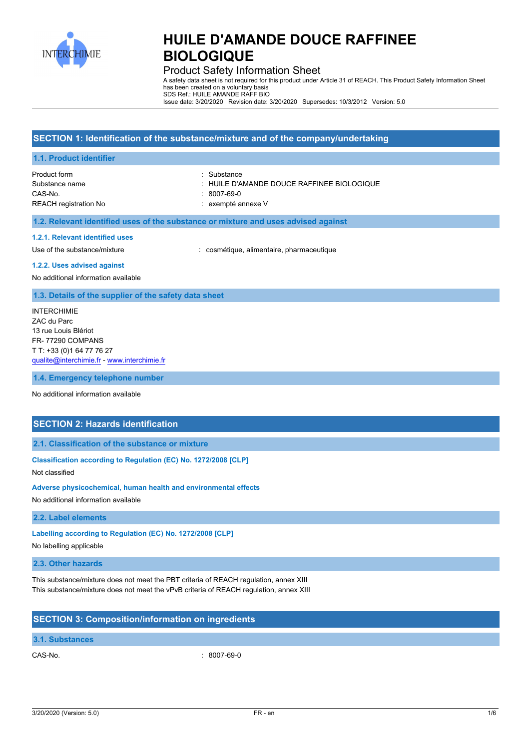

# Product Safety Information Sheet

A safety data sheet is not required for this product under Article 31 of REACH. This Product Safety Information Sheet has been created on a voluntary basis SDS Ref.: HUILE AMANDE RAFF BIO

Issue date: 3/20/2020 Revision date: 3/20/2020 Supersedes: 10/3/2012 Version: 5.0

|                                                                                                                                                            | SECTION 1: Identification of the substance/mixture and of the company/undertaking                  |
|------------------------------------------------------------------------------------------------------------------------------------------------------------|----------------------------------------------------------------------------------------------------|
| 1.1. Product identifier                                                                                                                                    |                                                                                                    |
| Product form<br>Substance name<br>CAS-No.<br><b>REACH registration No</b>                                                                                  | Substance<br>: HUILE D'AMANDE DOUCE RAFFINEE BIOLOGIQUE<br>$: 8007 - 69 - 0$<br>: exempté annexe V |
| 1.2. Relevant identified uses of the substance or mixture and uses advised against                                                                         |                                                                                                    |
| 1.2.1. Relevant identified uses<br>Use of the substance/mixture<br>1.2.2. Uses advised against<br>No additional information available                      | : cosmétique, alimentaire, pharmaceutique                                                          |
| 1.3. Details of the supplier of the safety data sheet                                                                                                      |                                                                                                    |
| <b>INTERCHIMIE</b><br>ZAC du Parc<br>13 rue Louis Blériot<br>FR-77290 COMPANS<br>T T: +33 (0) 1 64 77 76 27<br>qualite@interchimie.fr - www.interchimie.fr |                                                                                                    |
| 1.4. Emergency telephone number                                                                                                                            |                                                                                                    |
| No additional information available                                                                                                                        |                                                                                                    |
| <b>SECTION 2: Hazards identification</b>                                                                                                                   |                                                                                                    |
| 2.1. Classification of the substance or mixture                                                                                                            |                                                                                                    |
| Classification according to Regulation (EC) No. 1272/2008 [CLP]                                                                                            |                                                                                                    |

Not classified

**Adverse physicochemical, human health and environmental effects**

No additional information available

#### **2.2. Label elements**

**Labelling according to Regulation (EC) No. 1272/2008 [CLP]**

No labelling applicable

# **2.3. Other hazards**

This substance/mixture does not meet the PBT criteria of REACH regulation, annex XIII This substance/mixture does not meet the vPvB criteria of REACH regulation, annex XIII

# **SECTION 3: Composition/information on ingredients**

### **3.1. Substances**

CAS-No. : 8007-69-0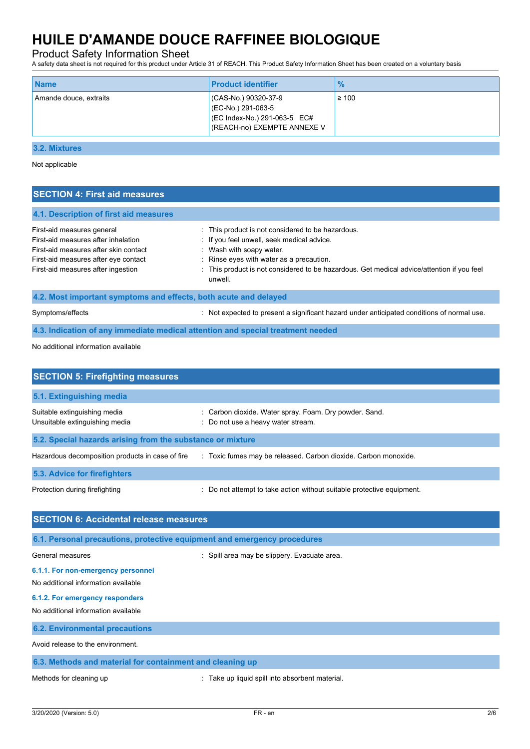## Product Safety Information Sheet

A safety data sheet is not required for this product under Article 31 of REACH. This Product Safety Information Sheet has been created on a voluntary basis

| <b>Name</b>            | <b>Product identifier</b>                                                                                 | $\frac{9}{6}$ |
|------------------------|-----------------------------------------------------------------------------------------------------------|---------------|
| Amande douce, extraits | (CAS-No.) 90320-37-9<br>(EC-No.) 291-063-5<br>(EC Index-No.) 291-063-5 EC#<br>(REACH-no) EXEMPTE ANNEXE V | $\geq 100$    |

#### **3.2. Mixtures**

Not applicable

## **SECTION 4: First aid measures**

#### **4.1. Description of first aid measures**

| First-aid measures general<br>First-aid measures after inhalation<br>First-aid measures after skin contact<br>First-aid measures after eye contact<br>First-aid measures after ingestion | : This product is not considered to be hazardous.<br>: If you feel unwell, seek medical advice.<br>Wash with soapy water.<br>: Rinse eyes with water as a precaution.<br>: This product is not considered to be hazardous. Get medical advice/attention if you feel<br>unwell. |  |  |
|------------------------------------------------------------------------------------------------------------------------------------------------------------------------------------------|--------------------------------------------------------------------------------------------------------------------------------------------------------------------------------------------------------------------------------------------------------------------------------|--|--|
| 4.2. Most important symptoms and effects, both acute and delayed                                                                                                                         |                                                                                                                                                                                                                                                                                |  |  |
| Symptoms/effects                                                                                                                                                                         | Not expected to present a significant hazard under anticipated conditions of normal use.                                                                                                                                                                                       |  |  |

#### **4.3. Indication of any immediate medical attention and special treatment needed**

No additional information available

| <b>SECTION 5: Firefighting measures</b>                        |                                                                                              |
|----------------------------------------------------------------|----------------------------------------------------------------------------------------------|
| 5.1. Extinguishing media                                       |                                                                                              |
| Suitable extinguishing media<br>Unsuitable extinguishing media | : Carbon dioxide. Water spray. Foam. Dry powder. Sand.<br>: Do not use a heavy water stream. |
| 5.2. Special hazards arising from the substance or mixture     |                                                                                              |
| Hazardous decomposition products in case of fire               | Toxic fumes may be released. Carbon dioxide. Carbon monoxide.                                |
| 5.3. Advice for firefighters                                   |                                                                                              |
| Protection during firefighting                                 | : Do not attempt to take action without suitable protective equipment.                       |

# **SECTION 6: Accidental release measures 6.1. Personal precautions, protective equipment and emergency procedures** General measures **in the set of the set of the Spill area may be slippery.** Evacuate area. **6.1.1. For non-emergency personnel** No additional information available **6.1.2. For emergency responders** No additional information available **6.2. Environmental precautions** Avoid release to the environment. **6.3. Methods and material for containment and cleaning up**

Methods for cleaning up **interpretional**  $\blacksquare$  Take up liquid spill into absorbent material.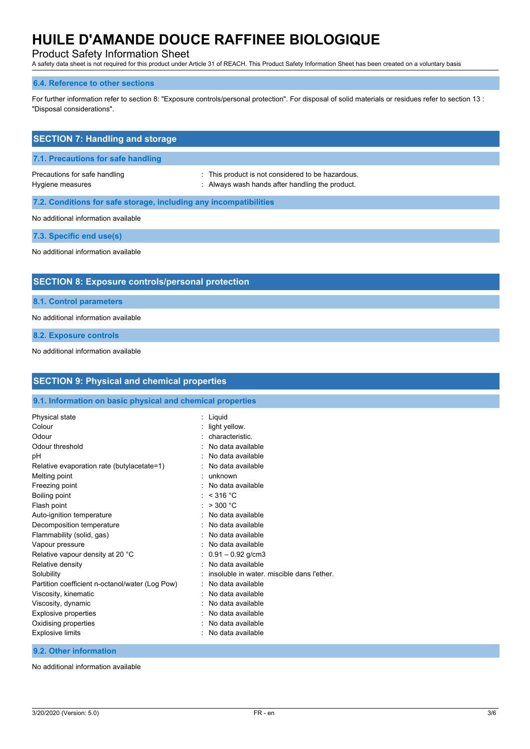# Product Safety Information Sheet

A safety data sheet is not required for this product under Article 31 of REACH. This Product Safety Information Sheet has been created on a voluntary basis

#### **6.4. Reference to other sections**

For further information refer to section 8: "Exposure controls/personal protection". For disposal of solid materials or residues refer to section 13 : "Disposal considerations".

| <b>SECTION 7: Handling and storage</b>                            |                                                                                                          |  |  |
|-------------------------------------------------------------------|----------------------------------------------------------------------------------------------------------|--|--|
| 7.1. Precautions for safe handling                                |                                                                                                          |  |  |
| Precautions for safe handling<br>Hygiene measures                 | This product is not considered to be hazardous.<br>t.<br>: Always wash hands after handling the product. |  |  |
| 7.2. Conditions for safe storage, including any incompatibilities |                                                                                                          |  |  |
| No additional information available                               |                                                                                                          |  |  |
| 7.3. Specific end use(s)                                          |                                                                                                          |  |  |
| No additional information available                               |                                                                                                          |  |  |
| <b>SECTION 8: Exposure controls/personal protection</b>           |                                                                                                          |  |  |
| 8.1. Control parameters                                           |                                                                                                          |  |  |
| No additional information available                               |                                                                                                          |  |  |
| 8.2. Exposure controls                                            |                                                                                                          |  |  |

No additional information available

| <b>SECTION 9: Physical and chemical properties</b>         |                                            |  |  |
|------------------------------------------------------------|--------------------------------------------|--|--|
| 9.1. Information on basic physical and chemical properties |                                            |  |  |
| Physical state                                             | : Liquid                                   |  |  |
| Colour                                                     | : light yellow.                            |  |  |
| Odour                                                      | characteristic.                            |  |  |
| Odour threshold                                            | No data available                          |  |  |
| pH                                                         | No data available                          |  |  |
| Relative evaporation rate (butylacetate=1)                 | No data available                          |  |  |
| Melting point                                              | unknown                                    |  |  |
| Freezing point                                             | No data available                          |  |  |
| Boiling point                                              | : $<$ 316 °C                               |  |  |
| Flash point                                                | : > 300 °C                                 |  |  |
| Auto-ignition temperature                                  | No data available                          |  |  |
| Decomposition temperature                                  | No data available                          |  |  |
| Flammability (solid, gas)                                  | No data available                          |  |  |
| Vapour pressure                                            | No data available                          |  |  |
| Relative vapour density at 20 °C                           | $0.91 - 0.92$ g/cm3                        |  |  |
| Relative density                                           | No data available                          |  |  |
| Solubility                                                 | insoluble in water, miscible dans l'ether. |  |  |
| Partition coefficient n-octanol/water (Log Pow)            | No data available                          |  |  |
| Viscosity, kinematic                                       | No data available                          |  |  |
| Viscosity, dynamic                                         | No data available                          |  |  |
| Explosive properties                                       | No data available                          |  |  |
| Oxidising properties                                       | No data available                          |  |  |
| <b>Explosive limits</b>                                    | No data available                          |  |  |

**9.2. Other information**

No additional information available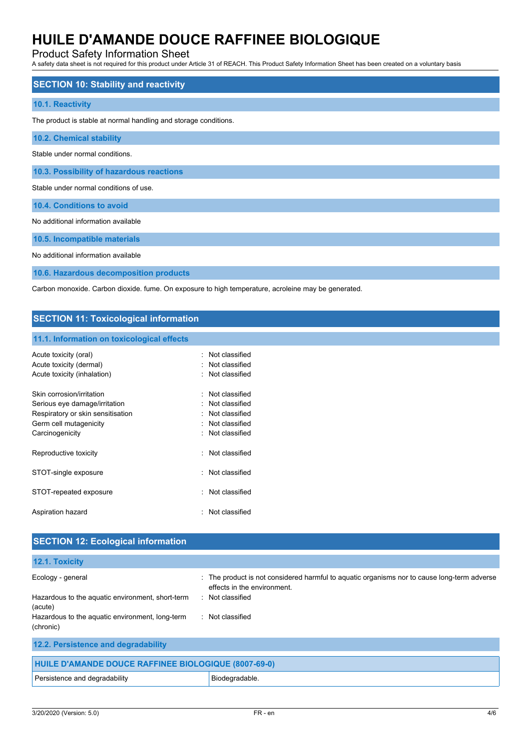# Product Safety Information Sheet

A safety data sheet is not required for this product under Article 31 of REACH. This Product Safety Information Sheet has been created on a voluntary basis

| <b>SECTION 10: Stability and reactivity</b>                      |
|------------------------------------------------------------------|
| 10.1. Reactivity                                                 |
| The product is stable at normal handling and storage conditions. |
| 10.2. Chemical stability                                         |
| Stable under normal conditions                                   |
| 10.3. Possibility of hazardous reactions                         |
| Stable under normal conditions of use.                           |
| 10.4. Conditions to avoid                                        |
| No additional information available                              |
| 10.5. Incompatible materials                                     |

No additional information available

**10.6. Hazardous decomposition products**

Carbon monoxide. Carbon dioxide. fume. On exposure to high temperature, acroleine may be generated.

## **SECTION 11: Toxicological information**

#### **11.1. Information on toxicological effects**

| Acute toxicity (oral)<br>Acute toxicity (dermal)<br>Acute toxicity (inhalation)                                                              | Not classified<br>: Not classified<br>: Not classified                                           |
|----------------------------------------------------------------------------------------------------------------------------------------------|--------------------------------------------------------------------------------------------------|
| Skin corrosion/irritation<br>Serious eye damage/irritation<br>Respiratory or skin sensitisation<br>Germ cell mutagenicity<br>Carcinogenicity | · Not classified<br>: Not classified<br>· Not classified<br>: Not classified<br>. Not classified |
| Reproductive toxicity                                                                                                                        | Not classified                                                                                   |
| STOT-single exposure                                                                                                                         | · Not classified                                                                                 |
| STOT-repeated exposure                                                                                                                       | Not classified                                                                                   |
| Aspiration hazard                                                                                                                            | · Not classified                                                                                 |

| <b>SECTION 12: Ecological information</b>                    |                                                                                                                            |
|--------------------------------------------------------------|----------------------------------------------------------------------------------------------------------------------------|
| 12.1. Toxicity                                               |                                                                                                                            |
| Ecology - general                                            | : The product is not considered harmful to aquatic organisms nor to cause long-term adverse<br>effects in the environment. |
| Hazardous to the aquatic environment, short-term<br>(acute)  | : Not classified                                                                                                           |
| Hazardous to the aquatic environment, long-term<br>(chronic) | : Not classified                                                                                                           |
| 12.2. Persistence and degradability                          |                                                                                                                            |
| HUILE D'AMANDE DOUCE RAFFINEE BIOLOGIQUE (8007-69-0)         |                                                                                                                            |

| Persistence and degradability | Biodegradable |
|-------------------------------|---------------|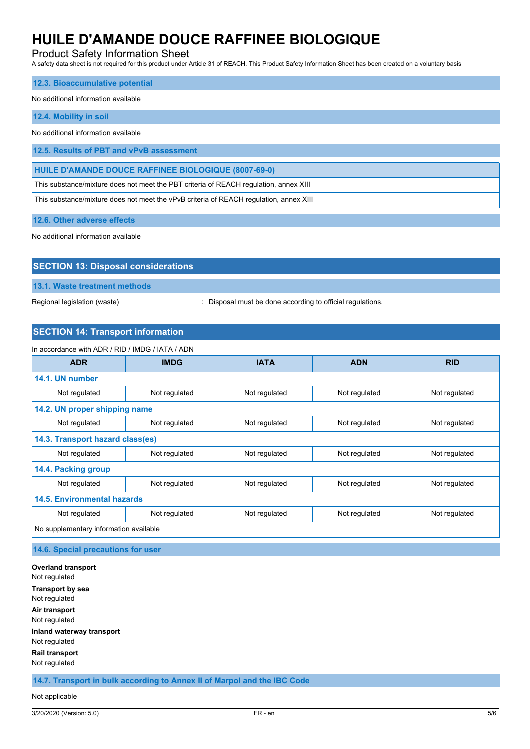## Product Safety Information Sheet

A safety data sheet is not required for this product under Article 31 of REACH. This Product Safety Information Sheet has been created on a voluntary basis

#### **12.3. Bioaccumulative potential**

#### No additional information available

#### **12.4. Mobility in soil**

No additional information available

**12.5. Results of PBT and vPvB assessment**

**HUILE D'AMANDE DOUCE RAFFINEE BIOLOGIQUE (8007-69-0)**

This substance/mixture does not meet the PBT criteria of REACH regulation, annex XIII

This substance/mixture does not meet the vPvB criteria of REACH regulation, annex XIII

**12.6. Other adverse effects**

No additional information available

| <b>SECTION 13: Disposal considerations</b> |  |
|--------------------------------------------|--|
| 13.1. Waste treatment methods              |  |

Regional legislation (waste)  $\qquad \qquad$ : Disposal must be done according to official regulations.

# **SECTION 14: Transport information**

| In accordance with ADR / RID / IMDG / IATA / ADN |               |               |               |               |
|--------------------------------------------------|---------------|---------------|---------------|---------------|
| <b>ADR</b>                                       | <b>IMDG</b>   | <b>IATA</b>   | <b>ADN</b>    | <b>RID</b>    |
| 14.1. UN number                                  |               |               |               |               |
| Not regulated                                    | Not regulated | Not regulated | Not regulated | Not regulated |
| 14.2. UN proper shipping name                    |               |               |               |               |
| Not regulated                                    | Not regulated | Not regulated | Not regulated | Not regulated |
| 14.3. Transport hazard class(es)                 |               |               |               |               |
| Not regulated                                    | Not regulated | Not regulated | Not regulated | Not regulated |
| 14.4. Packing group                              |               |               |               |               |
| Not regulated                                    | Not regulated | Not regulated | Not regulated | Not regulated |
| 14.5. Environmental hazards                      |               |               |               |               |
| Not regulated                                    | Not regulated | Not regulated | Not regulated | Not regulated |
| No supplementary information available           |               |               |               |               |

### **14.6. Special precautions for user**

**Overland transport** Not regulated **Transport by sea** Not regulated **Air transport** Not regulated **Inland waterway transport** Not regulated **Rail transport** Not regulated

**14.7. Transport in bulk according to Annex II of Marpol and the IBC Code**

#### Not applicable